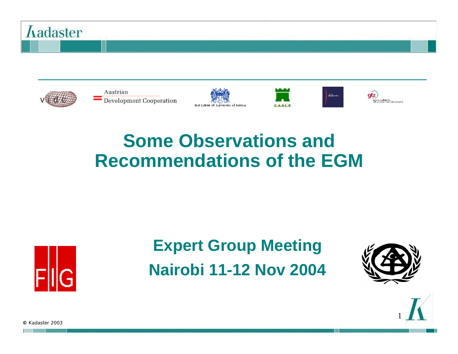



Austrian  $\overline{\phantom{a}}$  Development Cooperation







atz) .<br>Ozytacja Szadloder's K.)<br>Podej szlovany (vere Svik Cara) Karlos.

#### **Some Observations and Recommendations of the EGM**



#### **Expert Group Meeting Nairobi 11-12 Nov 2004**



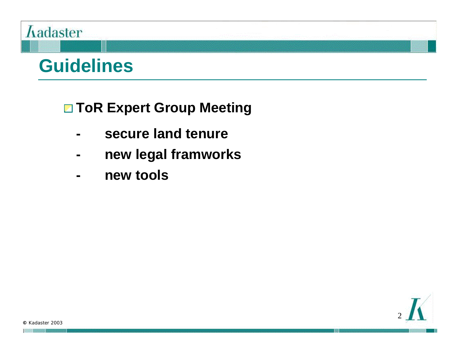#### *Aadaster*

#### **Guidelines**

#### **□ ToR Expert Group Meeting**

- **- secure land tenure**
- **- new legal framworks**
- **- new tools**

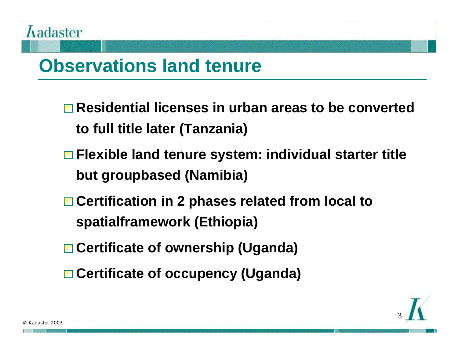## **Observations land tenure**

- **Residential licenses in urban areas to be converted to full title later (Tanzania)**
- **Flexible land tenure system: individual starter title but groupbased (Namibia)**
- **Certification in 2 phases related from local to spatialframework (Ethiopia)**
- **Certificate of ownership (Uganda)**
- **Certificate of occupency (Uganda)**

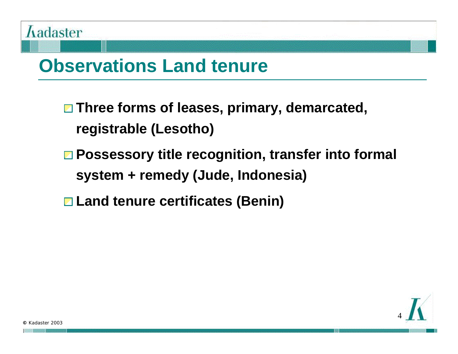

#### **Observations Land tenure**

- **Three forms of leases, primary, demarcated, registrable (Lesotho)**
- **Possessory title recognition, transfer into formal system + remedy (Jude, Indonesia)**
- **Land tenure certificates (Benin)**

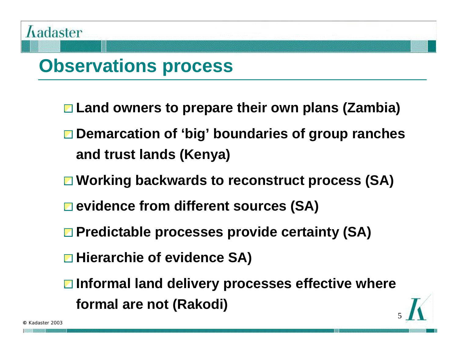#### **Observations process**

- **Land owners to prepare their own plans (Zambia)**
- **Demarcation of 'big' boundaries of group ranches and trust lands (Kenya)**
- **Working backwards to reconstruct process (SA)**
- **evidence from different sources (SA)**
- **Predictable processes provide certainty (SA)**
- **Hierarchie of evidence SA)**
- **Informal land delivery processes effective where formal are not (Rakodi)**

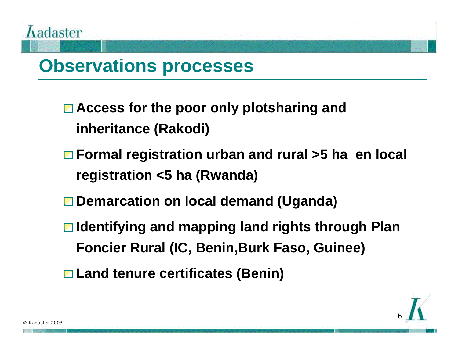#### **Observations processes**

- **Access for the poor only plotsharing and inheritance (Rakodi)**
- **Formal registration urban and rural >5 ha en local registration <5 ha (Rwanda)**
- **Demarcation on local demand (Uganda)**
- **Identifying and mapping land rights through Plan Foncier Rural (IC, Benin,Burk Faso, Guinee)**
- **Land tenure certificates (Benin)**

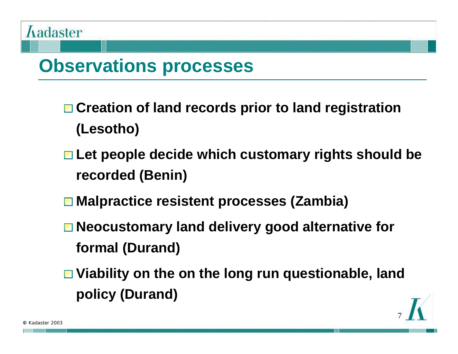#### **Observations processes**

- **Creation of land records prior to land registration (Lesotho)**
- **Let people decide which customary rights should be recorded (Benin)**
- **Malpractice resistent processes (Zambia)**
- Neocustomary land delivery good alternative for **formal (Durand)**
- **Viability on the on the long run questionable, land policy (Durand)**

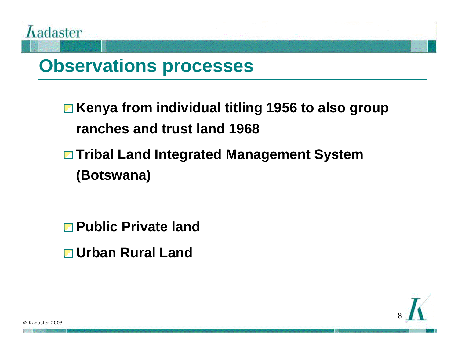

#### **Observations processes**

**Kenya from individual titling 1956 to also group ranches and trust land 1968**

- **Tribal Land Integrated Management System (Botswana)**
- **Public Private land**
- **Urban Rural Land**

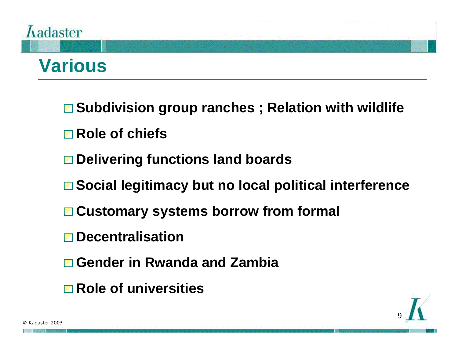# **Aadaster**

### **Various**

- **Subdivision group ranches ; Relation with wildlife**
- **Role of chiefs**
- **Delivering functions land boards**
- **Social legitimacy but no local political interference**
- **Customary systems borrow from formal**
- **Decentralisation**
- **Gender in Rwanda and Zambia**
- **Role of universities**

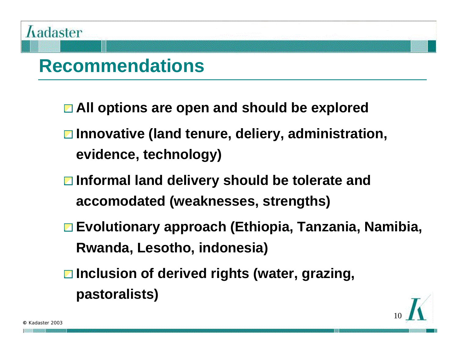

### **Recommendations**

- **All options are open and should be explored**
- **Innovative (land tenure, deliery, administration, evidence, technology)**
- **Informal land delivery should be tolerate and accomodated (weaknesses, strengths)**
- **Evolutionary approach (Ethiopia, Tanzania, Namibia, Rwanda, Lesotho, indonesia)**
- **Inclusion of derived rights (water, grazing, pastoralists)**

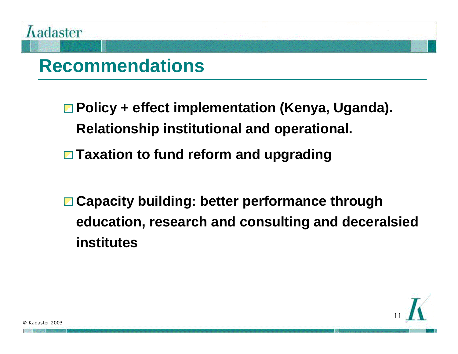

#### **Recommendations**

**Policy + effect implementation (Kenya, Uganda). Relationship institutional and operational.**

**Taxation to fund reform and upgrading**

**Capacity building: better performance through education, research and consulting and deceralsied institutes** 

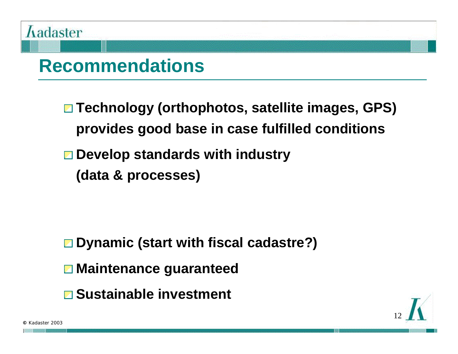

#### **Recommendations**

- **Technology (orthophotos, satellite images, GPS) provides good base in case fulfilled conditions**
- **Develop standards with industry**
	- **(data & processes)**

- **Dynamic (start with fiscal cadastre?)**
- **Maintenance guaranteed**
- **Sustainable investment**